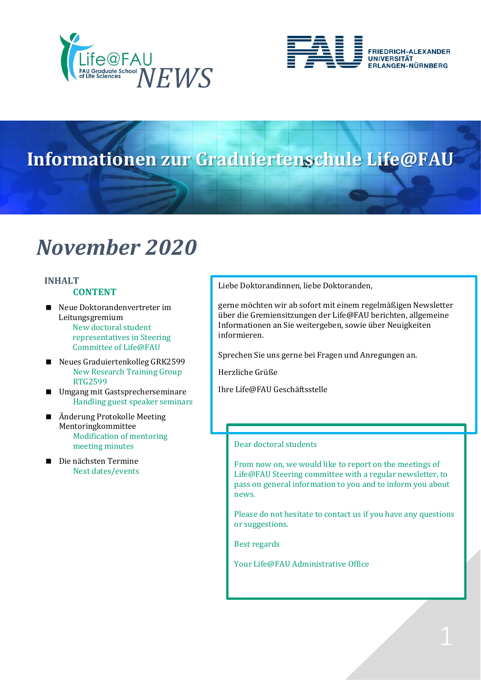



# **Informationen zur Graduiertenschule Life@FAU**

# *November 2020*

### **INHALT CONTENT**

- Neue Doktorandenvertreter im Leitungsgremium New doctoral student representatives in Steering Committee of Life@FAU
- Neues Graduiertenkolleg GRK2599 New Research Training Group RTG2599
- Umgang mit Gastsprecherseminare Handling guest speaker seminars
- Änderung Protokolle Meeting Mentoringkommittee Modification of mentoring meeting minutes
- Die nächsten Termine Next dates/events

Liebe Doktorandinnen, liebe Doktoranden,

gerne möchten wir ab sofort mit einem regelmäßigen Newsletter über die Gremiensitzungen der Life@FAU berichten, allgemeine Informationen an Sie weitergeben, sowie über Neuigkeiten informieren.

Sprechen Sie uns gerne bei Fragen und Anregungen an.

Herzliche Grüße

Ihre Life@FAU Geschäftsstelle

### Dear doctoral students

From now on, we would like to report on the meetings of Life@FAU Steering committee with a regular newsletter, to pass on general information to you and to inform you about news.

Please do not hesitate to contact us if you have any questions or suggestions.

Best regards

Your Life@FAU Administrative Office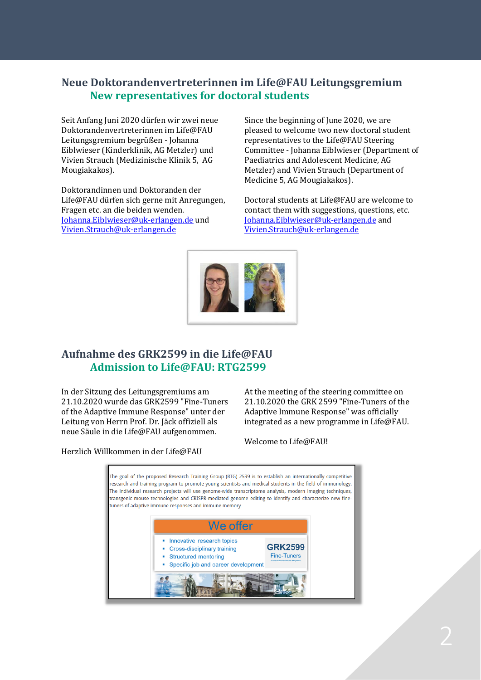# **Neue Doktorandenvertreterinnen im Life@FAU Leitungsgremium New representatives for doctoral students**

Seit Anfang Juni 2020 dürfen wir zwei neue Doktorandenvertreterinnen im Life@FAU Leitungsgremium begrüßen - Johanna Eiblwieser (Kinderklinik, AG Metzler) und Vivien Strauch (Medizinische Klinik 5, AG Mougiakakos).

Doktorandinnen und Doktoranden der Life@FAU dürfen sich gerne mit Anregungen, Fragen etc. an die beiden wenden. [Johanna.Eiblwieser@uk-erlangen.de](mailto:Johanna.Eiblwieser@uk-erlangen.de) und [Vivien.Strauch@uk-erlangen.de](mailto:Vivien.Strauch@uk-erlangen.de)

Since the beginning of June 2020, we are pleased to welcome two new doctoral student representatives to the Life@FAU Steering Committee - Johanna Eiblwieser (Department of Paediatrics and Adolescent Medicine, AG Metzler) and Vivien Strauch (Department of Medicine 5*,* AG Mougiakakos).

Doctoral students at Life@FAU are welcome to contact them with suggestions, questions, etc. [Johanna.Eiblwieser@uk-erlangen.de](mailto:Johanna.Eiblwieser@uk-erlangen.de) and [Vivien.Strauch@uk-erlangen.de](mailto:Vivien.Strauch@uk-erlangen.de)



# **Aufnahme des GRK2599 in die Life@FAU Admission to Life@FAU: RTG2599**

In der Sitzung des Leitungsgremiums am 21.10.2020 wurde das GRK2599 "Fine-Tuners of the Adaptive Immune Response" unter der Leitung von Herrn Prof. Dr. Jäck offiziell als neue Säule in die Life@FAU aufgenommen.

At the meeting of the steering committee on 21.10.2020 the GRK 2599 "Fine-Tuners of the Adaptive Immune Response" was officially integrated as a new programme in Life@FAU.

Welcome to Life@FAU!

Herzlich Willkommen in der Life@FAU

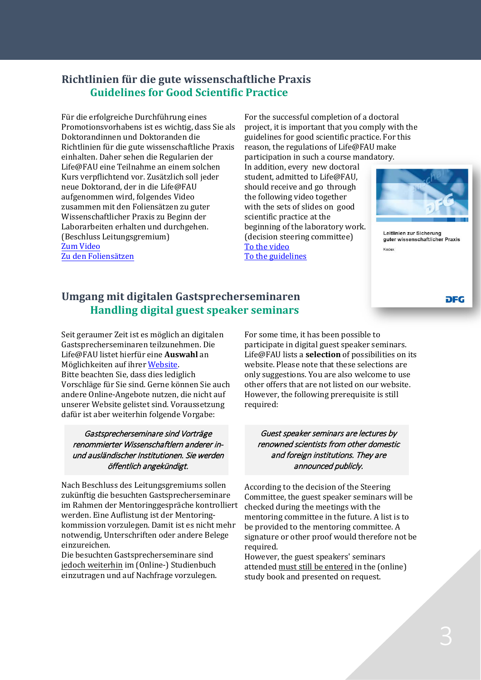## **Richtlinien für die gute wissenschaftliche Praxis Guidelines for Good Scientific Practice**

Für die erfolgreiche Durchführung eines Promotionsvorhabens ist es wichtig, dass Sie als Doktorandinnen und Doktoranden die Richtlinien für die gute wissenschaftliche Praxis einhalten. Daher sehen die Regularien der Life@FAU eine Teilnahme an einem solchen Kurs verpflichtend vor. Zusätzlich soll jeder neue Doktorand, der in die Life@FAU aufgenommen wird, folgendes Video zusammen mit den Foliensätzen zu guter Wissenschaftlicher Praxis zu Beginn der Laborarbeiten erhalten und durchgehen. (Beschluss Leitungsgremium) [Zum Video](https://www.youtube.com/watch?v=wYuDHN85t6M) [Zu den Foliensätzen](https://www.dfg.de/foerderung/grundlagen_rahmenbedingungen/gwp/index.html)

For the successful completion of a doctoral project, it is important that you comply with the guidelines for good scientific practice. For this reason, the regulations of Life@FAU make participation in such a course mandatory.

In addition, every new doctoral student, admitted to Life@FAU, should receive and go through the following video together with the sets of slides on good scientific practice at the beginning of the laboratory work. (decision steering committee)

[To the video](https://www.youtube.com/watch?v=wYuDHN85t6M) [To the guidelines](https://www.dfg.de/foerderung/grundlagen_rahmenbedingungen/gwp/index.html)



Leitlinien zur Sicherung guter wissenschaftlicher Praxis Kodex

**DFG** 

# **Umgang mit digitalen Gastsprecherseminaren Handling digital guest speaker seminars**

Seit geraumer Zeit ist es möglich an digitalen Gastsprecherseminaren teilzunehmen. Die Life@FAU listet hierfür eine **Auswahl** an Möglichkeiten auf ihre[r Website.](https://www.life.fau.de/veranstaltungsuebersicht/gastsprecherseminare/) Bitte beachten Sie, dass dies lediglich Vorschläge für Sie sind. Gerne können Sie auch andere Online-Angebote nutzen, die nicht auf unserer Website gelistet sind. Voraussetzung dafür ist aber weiterhin folgende Vorgabe:

## Gastsprecherseminare sind Vorträge renommierter Wissenschaftlern anderer inund ausländischer Institutionen. Sie werden öffentlich angekündigt.

Nach Beschluss des Leitungsgremiums sollen zukünftig die besuchten Gastsprecherseminare im Rahmen der Mentoringgespräche kontrolliert werden. Eine Auflistung ist der Mentoringkommission vorzulegen. Damit ist es nicht mehr notwendig, Unterschriften oder andere Belege einzureichen.

Die besuchten Gastsprecherseminare sind jedoch weiterhin im (Online-) Studienbuch einzutragen und auf Nachfrage vorzulegen. For some time, it has been possible to participate in digital guest speaker seminars. Life@FAU lists a **selection** of possibilities on its website. Please note that these selections are only suggestions. You are also welcome to use other offers that are not listed on our website. However, the following prerequisite is still required:

Guest speaker seminars are lectures by renowned scientists from other domestic and foreign institutions. They are announced publicly.

According to the decision of the Steering Committee, the guest speaker seminars will be checked during the meetings with the mentoring committee in the future. A list is to be provided to the mentoring committee. A signature or other proof would therefore not be required.

However, the guest speakers' seminars attended must still be entered in the (online) study book and presented on request.